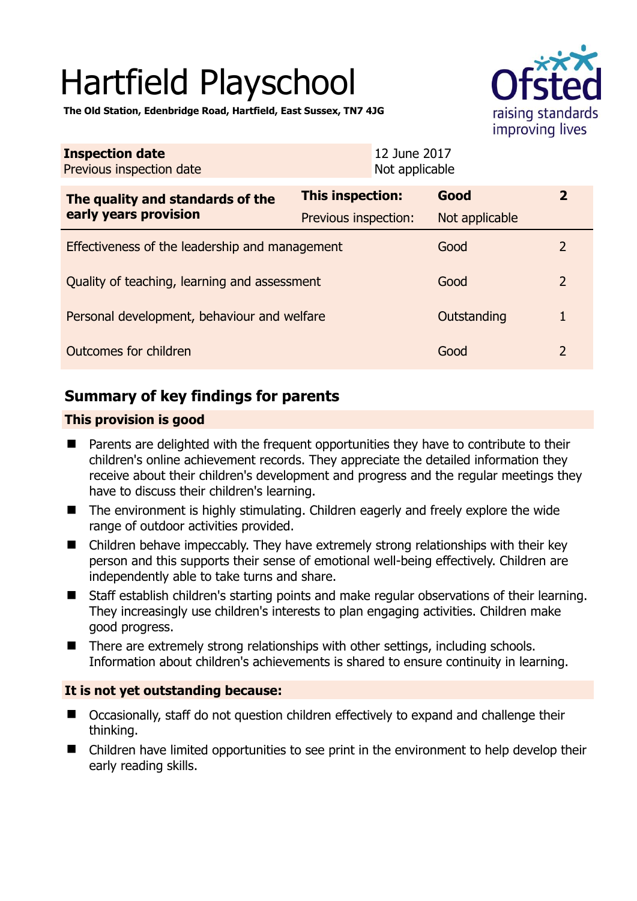# Hartfield Playschool



**The Old Station, Edenbridge Road, Hartfield, East Sussex, TN7 4JG** 

| <b>Inspection date</b><br>Previous inspection date        |                         | 12 June 2017<br>Not applicable |                |                         |
|-----------------------------------------------------------|-------------------------|--------------------------------|----------------|-------------------------|
| The quality and standards of the<br>early years provision | <b>This inspection:</b> |                                | Good           | $\overline{\mathbf{2}}$ |
|                                                           | Previous inspection:    |                                | Not applicable |                         |
| Effectiveness of the leadership and management            |                         |                                | Good           | 2                       |
| Quality of teaching, learning and assessment              |                         |                                | Good           | $\mathcal{P}$           |
| Personal development, behaviour and welfare               |                         |                                | Outstanding    |                         |
| Outcomes for children                                     |                         |                                | Good           | 2                       |

# **Summary of key findings for parents**

## **This provision is good**

- Parents are delighted with the frequent opportunities they have to contribute to their children's online achievement records. They appreciate the detailed information they receive about their children's development and progress and the regular meetings they have to discuss their children's learning.
- The environment is highly stimulating. Children eagerly and freely explore the wide range of outdoor activities provided.
- Children behave impeccably. They have extremely strong relationships with their key person and this supports their sense of emotional well-being effectively. Children are independently able to take turns and share.
- Staff establish children's starting points and make regular observations of their learning. They increasingly use children's interests to plan engaging activities. Children make good progress.
- There are extremely strong relationships with other settings, including schools. Information about children's achievements is shared to ensure continuity in learning.

## **It is not yet outstanding because:**

- Occasionally, staff do not question children effectively to expand and challenge their thinking.
- Children have limited opportunities to see print in the environment to help develop their early reading skills.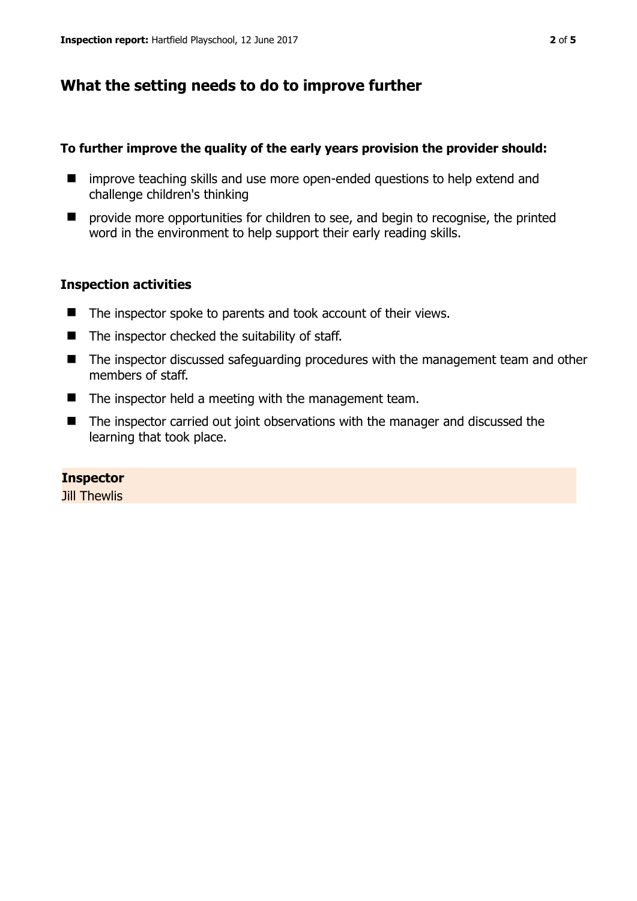# **What the setting needs to do to improve further**

#### **To further improve the quality of the early years provision the provider should:**

- $\blacksquare$  improve teaching skills and use more open-ended questions to help extend and challenge children's thinking
- $\blacksquare$  provide more opportunities for children to see, and begin to recognise, the printed word in the environment to help support their early reading skills.

#### **Inspection activities**

- The inspector spoke to parents and took account of their views.
- $\blacksquare$  The inspector checked the suitability of staff.
- The inspector discussed safeguarding procedures with the management team and other members of staff.
- The inspector held a meeting with the management team.
- The inspector carried out joint observations with the manager and discussed the learning that took place.

## **Inspector**

Jill Thewlis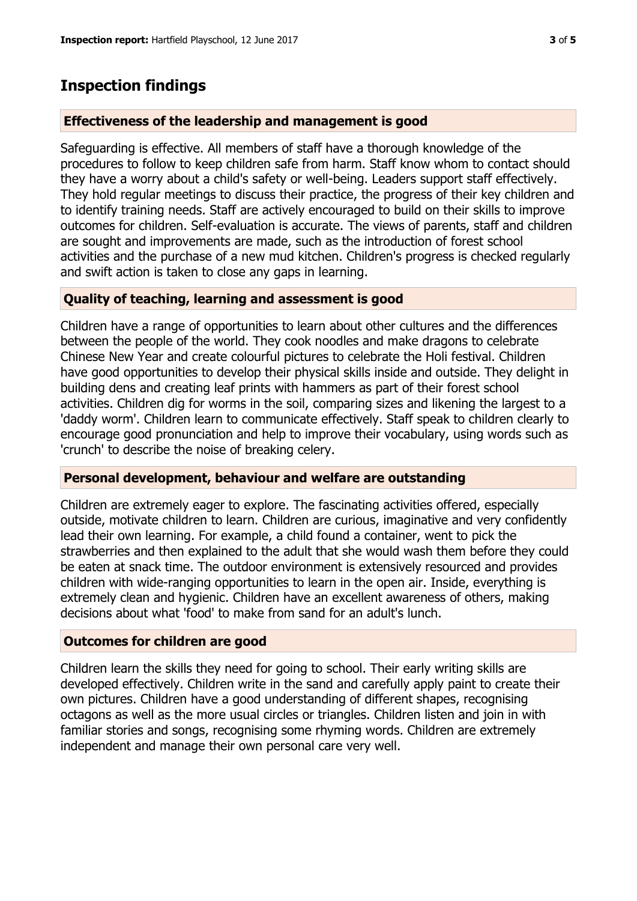# **Inspection findings**

#### **Effectiveness of the leadership and management is good**

Safeguarding is effective. All members of staff have a thorough knowledge of the procedures to follow to keep children safe from harm. Staff know whom to contact should they have a worry about a child's safety or well-being. Leaders support staff effectively. They hold regular meetings to discuss their practice, the progress of their key children and to identify training needs. Staff are actively encouraged to build on their skills to improve outcomes for children. Self-evaluation is accurate. The views of parents, staff and children are sought and improvements are made, such as the introduction of forest school activities and the purchase of a new mud kitchen. Children's progress is checked regularly and swift action is taken to close any gaps in learning.

#### **Quality of teaching, learning and assessment is good**

Children have a range of opportunities to learn about other cultures and the differences between the people of the world. They cook noodles and make dragons to celebrate Chinese New Year and create colourful pictures to celebrate the Holi festival. Children have good opportunities to develop their physical skills inside and outside. They delight in building dens and creating leaf prints with hammers as part of their forest school activities. Children dig for worms in the soil, comparing sizes and likening the largest to a 'daddy worm'. Children learn to communicate effectively. Staff speak to children clearly to encourage good pronunciation and help to improve their vocabulary, using words such as 'crunch' to describe the noise of breaking celery.

#### **Personal development, behaviour and welfare are outstanding**

Children are extremely eager to explore. The fascinating activities offered, especially outside, motivate children to learn. Children are curious, imaginative and very confidently lead their own learning. For example, a child found a container, went to pick the strawberries and then explained to the adult that she would wash them before they could be eaten at snack time. The outdoor environment is extensively resourced and provides children with wide-ranging opportunities to learn in the open air. Inside, everything is extremely clean and hygienic. Children have an excellent awareness of others, making decisions about what 'food' to make from sand for an adult's lunch.

#### **Outcomes for children are good**

Children learn the skills they need for going to school. Their early writing skills are developed effectively. Children write in the sand and carefully apply paint to create their own pictures. Children have a good understanding of different shapes, recognising octagons as well as the more usual circles or triangles. Children listen and join in with familiar stories and songs, recognising some rhyming words. Children are extremely independent and manage their own personal care very well.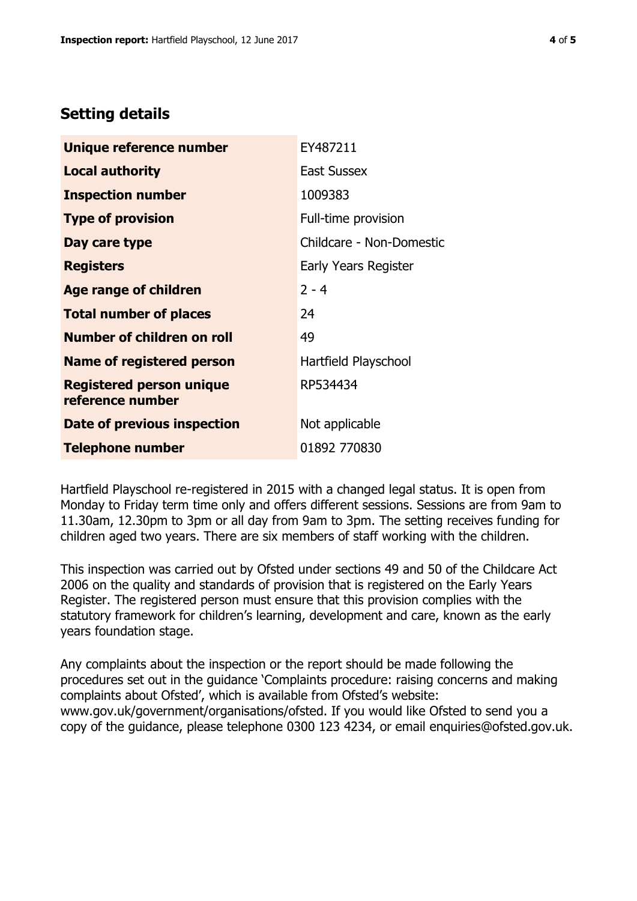# **Setting details**

| Unique reference number                             | EY487211                 |  |
|-----------------------------------------------------|--------------------------|--|
| <b>Local authority</b>                              | East Sussex              |  |
| <b>Inspection number</b>                            | 1009383                  |  |
| <b>Type of provision</b>                            | Full-time provision      |  |
| Day care type                                       | Childcare - Non-Domestic |  |
| <b>Registers</b>                                    | Early Years Register     |  |
| <b>Age range of children</b>                        | $2 - 4$                  |  |
| <b>Total number of places</b>                       | 24                       |  |
| Number of children on roll                          | 49                       |  |
| Name of registered person                           | Hartfield Playschool     |  |
| <b>Registered person unique</b><br>reference number | RP534434                 |  |
| Date of previous inspection                         | Not applicable           |  |
| <b>Telephone number</b>                             | 01892 770830             |  |

Hartfield Playschool re-registered in 2015 with a changed legal status. It is open from Monday to Friday term time only and offers different sessions. Sessions are from 9am to 11.30am, 12.30pm to 3pm or all day from 9am to 3pm. The setting receives funding for children aged two years. There are six members of staff working with the children.

This inspection was carried out by Ofsted under sections 49 and 50 of the Childcare Act 2006 on the quality and standards of provision that is registered on the Early Years Register. The registered person must ensure that this provision complies with the statutory framework for children's learning, development and care, known as the early years foundation stage.

Any complaints about the inspection or the report should be made following the procedures set out in the guidance 'Complaints procedure: raising concerns and making complaints about Ofsted', which is available from Ofsted's website: www.gov.uk/government/organisations/ofsted. If you would like Ofsted to send you a copy of the guidance, please telephone 0300 123 4234, or email enquiries@ofsted.gov.uk.